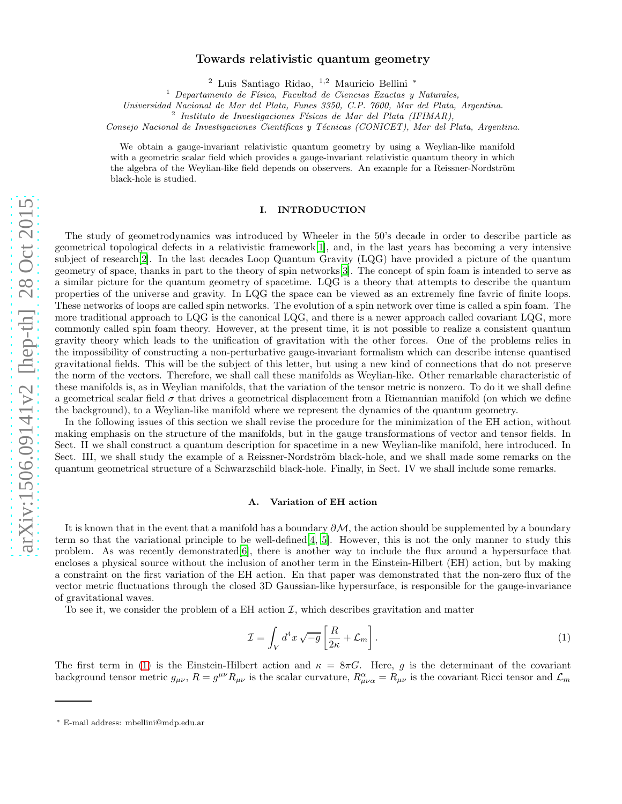# arXiv:1506.09141v2 [hep-th] 28 Oct 2015 [arXiv:1506.09141v2 \[hep-th\] 28 Oct 2015](http://arxiv.org/abs/1506.09141v2)

# Towards relativistic quantum geometry

<sup>2</sup> Luis Santiago Ridao, <sup>1</sup>,<sup>2</sup> Mauricio Bellini <sup>∗</sup>

 $1$  Departamento de Física, Facultad de Ciencias Exactas y Naturales,

Universidad Nacional de Mar del Plata, Funes 3350, C.P. 7600, Mar del Plata, Argentina.

<sup>2</sup> Instituto de Investigaciones Físicas de Mar del Plata (IFIMAR),

Consejo Nacional de Investigaciones Científicas y Técnicas (CONICET), Mar del Plata, Argentina.

We obtain a gauge-invariant relativistic quantum geometry by using a Weylian-like manifold with a geometric scalar field which provides a gauge-invariant relativistic quantum theory in which the algebra of the Weylian-like field depends on observers. An example for a Reissner-Nordström black-hole is studied.

# I. INTRODUCTION

The study of geometrodynamics was introduced by Wheeler in the 50's decade in order to describe particle as geometrical topological defects in a relativistic framework[\[1\]](#page-7-0), and, in the last years has becoming a very intensive subject of research<sup>[\[2](#page-7-1)]</sup>. In the last decades Loop Quantum Gravity (LQG) have provided a picture of the quantum geometry of space, thanks in part to the theory of spin networks[\[3](#page-7-2)]. The concept of spin foam is intended to serve as a similar picture for the quantum geometry of spacetime. LQG is a theory that attempts to describe the quantum properties of the universe and gravity. In LQG the space can be viewed as an extremely fine favric of finite loops. These networks of loops are called spin networks. The evolution of a spin network over time is called a spin foam. The more traditional approach to LQG is the canonical LQG, and there is a newer approach called covariant LQG, more commonly called spin foam theory. However, at the present time, it is not possible to realize a consistent quantum gravity theory which leads to the unification of gravitation with the other forces. One of the problems relies in the impossibility of constructing a non-perturbative gauge-invariant formalism which can describe intense quantised gravitational fields. This will be the subject of this letter, but using a new kind of connections that do not preserve the norm of the vectors. Therefore, we shall call these manifolds as Weylian-like. Other remarkable characteristic of these manifolds is, as in Weylian manifolds, that the variation of the tensor metric is nonzero. To do it we shall define a geometrical scalar field  $\sigma$  that drives a geometrical displacement from a Riemannian manifold (on which we define the background), to a Weylian-like manifold where we represent the dynamics of the quantum geometry.

In the following issues of this section we shall revise the procedure for the minimization of the EH action, without making emphasis on the structure of the manifolds, but in the gauge transformations of vector and tensor fields. In Sect. II we shall construct a quantum description for spacetime in a new Weylian-like manifold, here introduced. In Sect. III, we shall study the example of a Reissner-Nordström black-hole, and we shall made some remarks on the quantum geometrical structure of a Schwarzschild black-hole. Finally, in Sect. IV we shall include some remarks.

### A. Variation of EH action

It is known that in the event that a manifold has a boundary  $\partial M$ , the action should be supplemented by a boundary term so that the variational principle to be well-defined[\[4](#page-7-3), [5\]](#page-7-4). However, this is not the only manner to study this problem. As was recently demonstrated[\[6](#page-7-5)], there is another way to include the flux around a hypersurface that encloses a physical source without the inclusion of another term in the Einstein-Hilbert (EH) action, but by making a constraint on the first variation of the EH action. En that paper was demonstrated that the non-zero flux of the vector metric fluctuations through the closed 3D Gaussian-like hypersurface, is responsible for the gauge-invariance of gravitational waves.

To see it, we consider the problem of a EH action  $\mathcal{I}$ , which describes gravitation and matter

<span id="page-0-0"></span>
$$
\mathcal{I} = \int_{V} d^4 x \sqrt{-g} \left[ \frac{R}{2\kappa} + \mathcal{L}_m \right]. \tag{1}
$$

The first term in [\(1\)](#page-0-0) is the Einstein-Hilbert action and  $\kappa = 8\pi G$ . Here, g is the determinant of the covariant background tensor metric  $g_{\mu\nu}$ ,  $R = g^{\mu\nu} R_{\mu\nu}$  is the scalar curvature,  $R^{\alpha}_{\mu\nu\alpha} = R_{\mu\nu}$  is the covariant Ricci tensor and  $\mathcal{L}_m$ 

<sup>∗</sup> E-mail address: mbellini@mdp.edu.ar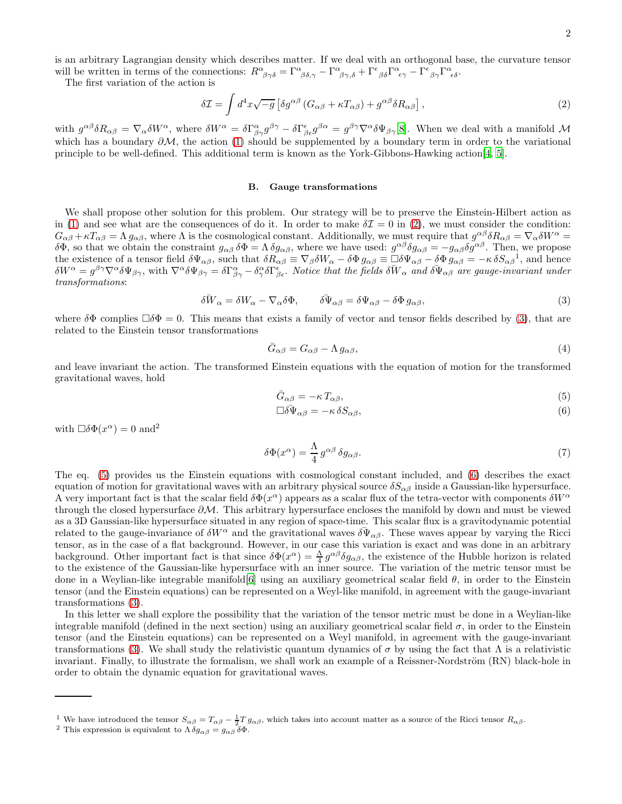is an arbitrary Lagrangian density which describes matter. If we deal with an orthogonal base, the curvature tensor will be written in terms of the connections:  $R^{\alpha}_{\ \beta\gamma\delta} = \Gamma^{\alpha}_{\ \beta\delta,\gamma} - \Gamma^{\alpha}_{\ \beta\gamma,\delta} + \Gamma^{\epsilon}_{\ \beta\delta}\Gamma^{\alpha}_{\ \epsilon\gamma} - \Gamma^{\epsilon}_{\ \beta\gamma}\Gamma^{\alpha}_{\ \epsilon\delta}.$ 

The first variation of the action is

<span id="page-1-0"></span>
$$
\delta \mathcal{I} = \int d^4x \sqrt{-g} \left[ \delta g^{\alpha \beta} \left( G_{\alpha \beta} + \kappa T_{\alpha \beta} \right) + g^{\alpha \beta} \delta R_{\alpha \beta} \right],\tag{2}
$$

with  $g^{\alpha\beta}\delta R_{\alpha\beta} = \nabla_{\alpha}\delta W^{\alpha}$ , where  $\delta W^{\alpha} = \delta\Gamma^{\alpha}_{\beta\gamma}g^{\beta\gamma} - \delta\Gamma^{\epsilon}_{\beta\epsilon}g^{\beta\alpha} = g^{\beta\gamma}\nabla^{\alpha}\delta\Psi_{\beta\gamma}[8]$  $\delta W^{\alpha} = \delta\Gamma^{\alpha}_{\beta\gamma}g^{\beta\gamma} - \delta\Gamma^{\epsilon}_{\beta\epsilon}g^{\beta\alpha} = g^{\beta\gamma}\nabla^{\alpha}\delta\Psi_{\beta\gamma}[8]$  $\delta W^{\alpha} = \delta\Gamma^{\alpha}_{\beta\gamma}g^{\beta\gamma} - \delta\Gamma^{\epsilon}_{\beta\epsilon}g^{\beta\alpha} = g^{\beta\gamma}\nabla^{\alpha}\delta\Psi_{\beta\gamma}[8]$ . When we deal with a manifold M which has a boundary  $\partial M$ , the action [\(1\)](#page-0-0) should be supplemented by a boundary term in order to the variational principle to be well-defined. This additional term is known as the York-Gibbons-Hawking action[\[4,](#page-7-3) [5](#page-7-4)].

### B. Gauge transformations

We shall propose other solution for this problem. Our strategy will be to preserve the Einstein-Hilbert action as in [\(1\)](#page-0-0) and see what are the consequences of do it. In order to make  $\delta \mathcal{I} = 0$  in [\(2\)](#page-1-0), we must consider the condition:  $G_{\alpha\beta} + \kappa T_{\alpha\beta} = \Lambda g_{\alpha\beta}$ , where  $\Lambda$  is the cosmological constant. Additionally, we must require that  $g^{\alpha\beta}\delta R_{\alpha\beta} = \nabla_{\alpha}\delta W^{\alpha} =$ δΦ, so that we obtain the constraint  $g_{\alpha\beta} \delta\Phi = \Lambda \delta g_{\alpha\beta}$ , where we have used:  $g^{\alpha\beta} \delta g_{\alpha\beta} = -g_{\alpha\beta} \delta g^{\alpha\beta}$ . Then, we propose the existence of a tensor field  $\delta\Psi_{\alpha\beta}$ , such that  $\delta R_{\alpha\beta} \equiv \nabla_{\beta}\delta W_{\alpha} - \delta\Phi g_{\alpha\beta} \equiv \Box \delta\Psi_{\alpha\beta} - \delta\Phi g_{\alpha\beta} = -\kappa \delta S_{\alpha\beta}^{-1}$ , and hence  $\delta W^{\alpha} = g^{\beta\gamma}\nabla^{\alpha}\delta\Psi_{\beta\gamma}$ , with  $\nabla^{\alpha}\delta\Psi_{\beta\gamma} = \delta\Gamma^{\alpha}_{\beta\gamma} - \delta^{\alpha}_{\gamma}\delta\Gamma^{\epsilon}_{\beta\epsilon}$ . Notice that the fields  $\delta\overline{W}_{\alpha}$  and  $\delta\Psi_{\alpha\beta}$  are gauge-invariant under transformations:

<span id="page-1-1"></span>
$$
\delta \bar{W}_{\alpha} = \delta W_{\alpha} - \nabla_{\alpha} \delta \Phi, \qquad \delta \bar{\Psi}_{\alpha\beta} = \delta \Psi_{\alpha\beta} - \delta \Phi g_{\alpha\beta}, \tag{3}
$$

where  $\delta\Phi$  complies  $\Box\delta\Phi = 0$ . This means that exists a family of vector and tensor fields described by [\(3\)](#page-1-1), that are related to the Einstein tensor transformations

<span id="page-1-4"></span>
$$
\bar{G}_{\alpha\beta} = G_{\alpha\beta} - \Lambda g_{\alpha\beta},\tag{4}
$$

and leave invariant the action. The transformed Einstein equations with the equation of motion for the transformed gravitational waves, hold

<span id="page-1-2"></span>
$$
\bar{G}_{\alpha\beta} = -\kappa \, T_{\alpha\beta},\tag{5}
$$

$$
\Box \delta \Psi_{\alpha\beta} = -\kappa \delta S_{\alpha\beta},\tag{6}
$$

with  $\Box \delta \Phi(x^{\alpha}) = 0$  and<sup>2</sup>

<span id="page-1-3"></span>
$$
\delta\Phi(x^{\alpha}) = \frac{\Lambda}{4} g^{\alpha\beta} \delta g_{\alpha\beta}.
$$
\n(7)

The eq. [\(5\)](#page-1-2) provides us the Einstein equations with cosmological constant included, and [\(6\)](#page-1-2) describes the exact equation of motion for gravitational waves with an arbitrary physical source  $\delta S_{\alpha\beta}$  inside a Gaussian-like hypersurface. A very important fact is that the scalar field  $\delta\Phi(x^{\alpha})$  appears as a scalar flux of the tetra-vector with components  $\delta W^{\alpha}$ through the closed hypersurface ∂M. This arbitrary hypersurface encloses the manifold by down and must be viewed as a 3D Gaussian-like hypersurface situated in any region of space-time. This scalar flux is a gravitodynamic potential related to the gauge-invariance of  $\delta W^{\alpha}$  and the gravitational waves  $\delta \Psi_{\alpha\beta}$ . These waves appear by varying the Ricci tensor, as in the case of a flat background. However, in our case this variation is exact and was done in an arbitrary background. Other important fact is that since  $\delta\Phi(x^{\alpha}) = \frac{\Lambda}{4} g^{\alpha\beta} \delta g_{\alpha\beta}$ , the existence of the Hubble horizon is related to the existence of the Gaussian-like hypersurface with an inner source. The variation of the metric tensor must be done in a Weylian-like integrable manifold  $[6]$  using an auxiliary geometrical scalar field  $\theta$ , in order to the Einstein tensor (and the Einstein equations) can be represented on a Weyl-like manifold, in agreement with the gauge-invariant transformations [\(3\)](#page-1-1).

In this letter we shall explore the possibility that the variation of the tensor metric must be done in a Weylian-like integrable manifold (defined in the next section) using an auxiliary geometrical scalar field  $\sigma$ , in order to the Einstein tensor (and the Einstein equations) can be represented on a Weyl manifold, in agreement with the gauge-invariant transformations [\(3\)](#page-1-1). We shall study the relativistic quantum dynamics of σ by using the fact that Λ is a relativistic invariant. Finally, to illustrate the formalism, we shall work an example of a Reissner-Nordström  $(RN)$  black-hole in order to obtain the dynamic equation for gravitational waves.

<sup>&</sup>lt;sup>1</sup> We have introduced the tensor  $S_{\alpha\beta} = T_{\alpha\beta} - \frac{1}{2}T g_{\alpha\beta}$ , which takes into account matter as a source of the Ricci tensor  $R_{\alpha\beta}$ .

<sup>&</sup>lt;sup>2</sup> This expression is equivalent to  $\Lambda \delta g_{\alpha\beta} = g_{\alpha\beta} \overline{\delta \Phi}$ .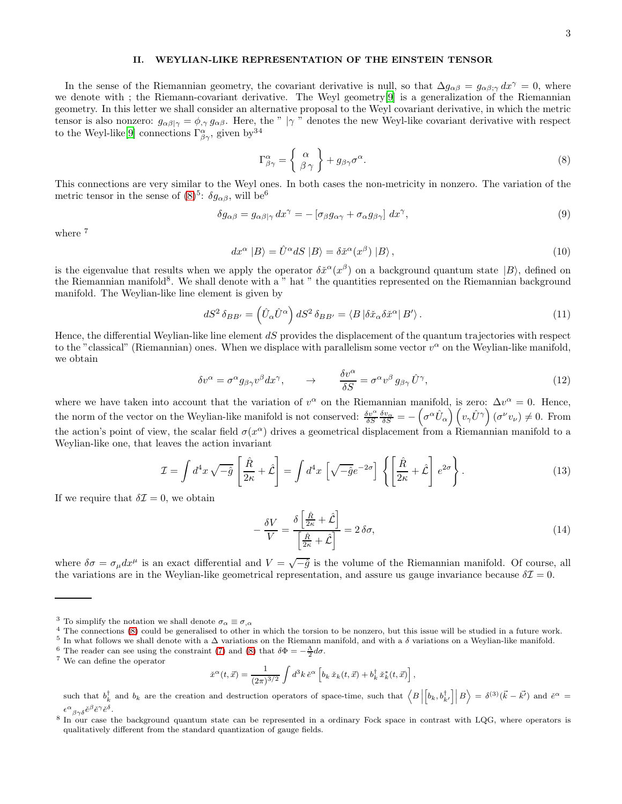# II. WEYLIAN-LIKE REPRESENTATION OF THE EINSTEIN TENSOR

In the sense of the Riemannian geometry, the covariant derivative is null, so that  $\Delta g_{\alpha\beta} = g_{\alpha\beta;\gamma} dx^{\gamma} = 0$ , where we denote with ; the Riemann-covariant derivative. The Weyl geometry[\[9\]](#page-8-1) is a generalization of the Riemannian geometry. In this letter we shall consider an alternative proposal to the Weyl covariant derivative, in which the metric tensor is also nonzero:  $g_{\alpha\beta|\gamma} = \phi_{,\gamma} g_{\alpha\beta}$ . Here, the " |γ " denotes the new Weyl-like covariant derivative with respect to the Weyl-like<sup>[\[9](#page-8-1)]</sup> connections  $\Gamma^{\alpha}_{\beta\gamma}$ , given by  $34$ 

<span id="page-2-0"></span>
$$
\Gamma^{\alpha}_{\beta\gamma} = \begin{Bmatrix} \alpha \\ \beta \gamma \end{Bmatrix} + g_{\beta\gamma}\sigma^{\alpha}.
$$
 (8)

This connections are very similar to the Weyl ones. In both cases the non-metricity in nonzero. The variation of the metric tensor in the sense of  $(8)^5$ :  $\delta g_{\alpha\beta}$ , will be<sup>6</sup>

<span id="page-2-1"></span>
$$
\delta g_{\alpha\beta} = g_{\alpha\beta|\gamma} dx^{\gamma} = -\left[\sigma_{\beta} g_{\alpha\gamma} + \sigma_{\alpha} g_{\beta\gamma}\right] dx^{\gamma},\tag{9}
$$

where  $^7$ 

$$
dx^{\alpha} |B\rangle = \hat{U}^{\alpha} dS |B\rangle = \delta \tilde{x}^{\alpha} (x^{\beta}) |B\rangle, \qquad (10)
$$

is the eigenvalue that results when we apply the operator  $\delta \tilde{x}^{\alpha}(x^{\beta})$  on a background quantum state  $|B\rangle$ , defined on the Riemannian manifold<sup>8</sup>. We shall denote with a " hat " the quantities represented on the Riemannian background manifold. The Weylian-like line element is given by

$$
dS^2 \,\delta_{BB'} = \left(\hat{U}_{\alpha}\hat{U}^{\alpha}\right) dS^2 \,\delta_{BB'} = \langle B \,|\delta \check{x}_{\alpha}\delta \check{x}^{\alpha}|\,B'\rangle\,. \tag{11}
$$

Hence, the differential Weylian-like line element  $dS$  provides the displacement of the quantum trajectories with respect to the "classical" (Riemannian) ones. When we displace with parallelism some vector  $v^{\alpha}$  on the Weylian-like manifold, we obtain

$$
\delta v^{\alpha} = \sigma^{\alpha} g_{\beta \gamma} v^{\beta} dx^{\gamma}, \qquad \rightarrow \qquad \frac{\delta v^{\alpha}}{\delta S} = \sigma^{\alpha} v^{\beta} g_{\beta \gamma} \hat{U}^{\gamma}, \tag{12}
$$

where we have taken into account that the variation of  $v^{\alpha}$  on the Riemannian manifold, is zero:  $\Delta v^{\alpha} = 0$ . Hence, the norm of the vector on the Weylian-like manifold is not conserved:  $\frac{\delta v^{\alpha}}{\delta S} \frac{\delta v_{\alpha}}{\delta S} = -\left(\sigma^{\alpha} \hat{U}_{\alpha}\right) \left(v_{\gamma} \hat{U}^{\gamma}\right) (\sigma^{\nu} v_{\nu}) \neq 0$ . From the action's point of view, the scalar field  $\sigma(x^{\alpha})$  drives a geometrical displacement from a Riemannian manifold to a Weylian-like one, that leaves the action invariant

$$
\mathcal{I} = \int d^4x \sqrt{-\hat{g}} \left[ \frac{\hat{R}}{2\kappa} + \hat{\mathcal{L}} \right] = \int d^4x \left[ \sqrt{-\hat{g}} e^{-2\sigma} \right] \left\{ \left[ \frac{\hat{R}}{2\kappa} + \hat{\mathcal{L}} \right] e^{2\sigma} \right\}.
$$
 (13)

If we require that  $\delta \mathcal{I} = 0$ , we obtain

$$
-\frac{\delta V}{V} = \frac{\delta \left[\frac{\hat{R}}{2\kappa} + \hat{\mathcal{L}}\right]}{\left[\frac{\hat{R}}{2\kappa} + \hat{\mathcal{L}}\right]} = 2\,\delta\sigma,\tag{14}
$$

where  $\delta\sigma = \sigma_\mu dx^\mu$  is an exact differential and  $V = \sqrt{-\hat{g}}$  is the volume of the Riemannian manifold. Of course, all the variations are in the Weylian-like geometrical representation, and assure us gauge invariance because  $\delta \mathcal{I} = 0$ .

$$
\check{x}^{\alpha}(t, \vec{x}) = \frac{1}{(2\pi)^{3/2}} \int d^3k \, \check{e}^{\alpha} \left[ b_k \, \check{x}_k(t, \vec{x}) + b_k^{\dagger} \, \check{x}_k^*(t, \vec{x}) \right],
$$

such that  $b_k^{\dagger}$  and  $b_k$  are the creation and destruction operators of space-time, such that  $\langle B \rangle$  $\left[b_k, b_{k'}^{\dagger}\right] \middle| B \right\rangle = \delta^{(3)}(\vec{k} - \vec{k'})$  and  $\check{e}^{\alpha} =$  $\epsilon^\alpha_{\ \ \beta\gamma\delta}$ ĕ $^\beta$ ĕ $^\gamma$ ĕ $^\delta$ .

<sup>&</sup>lt;sup>3</sup> To simplify the notation we shall denote  $\sigma_{\alpha} \equiv \sigma_{,\alpha}$ 

<sup>4</sup> The connections [\(8\)](#page-2-0) could be generalised to other in which the torsion to be nonzero, but this issue will be studied in a future work.

<sup>&</sup>lt;sup>5</sup> In what follows we shall denote with a  $\Delta$  variations on the Riemann manifold, and with a  $\delta$  variations on a Weylian-like manifold.

<sup>&</sup>lt;sup>6</sup> The reader can see using the constraint [\(7\)](#page-1-3) and [\(8\)](#page-2-0) that  $\delta\Phi = -\frac{\Lambda}{2}d\sigma$ .

<sup>7</sup> We can define the operator

<sup>8</sup> In our case the background quantum state can be represented in a ordinary Fock space in contrast with LQG, where operators is qualitatively different from the standard quantization of gauge fields.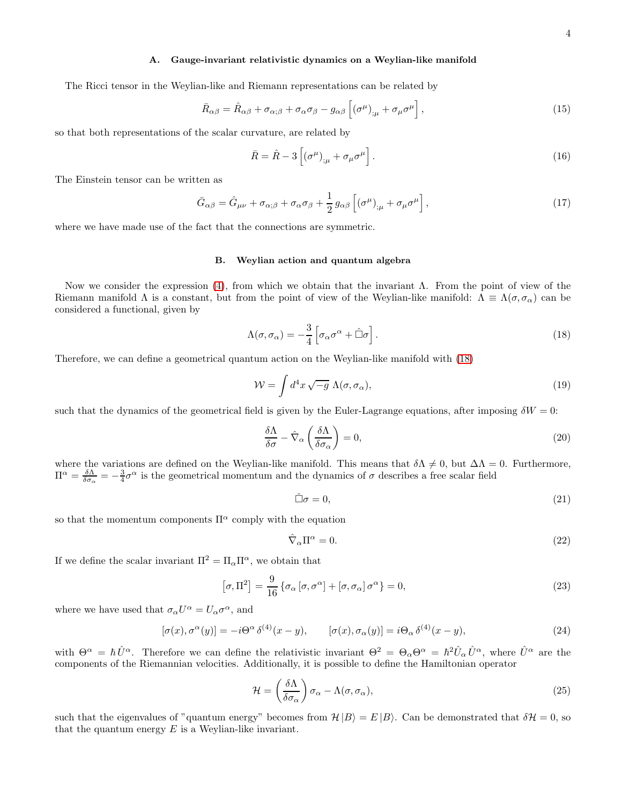# A. Gauge-invariant relativistic dynamics on a Weylian-like manifold

The Ricci tensor in the Weylian-like and Riemann representations can be related by

$$
\bar{R}_{\alpha\beta} = \hat{R}_{\alpha\beta} + \sigma_{\alpha;\beta} + \sigma_{\alpha}\sigma_{\beta} - g_{\alpha\beta} \left[ (\sigma^{\mu})_{;\mu} + \sigma_{\mu}\sigma^{\mu} \right],
$$
\n(15)

so that both representations of the scalar curvature, are related by

$$
\bar{R} = \hat{R} - 3\left[ (\sigma^{\mu})_{;\mu} + \sigma_{\mu}\sigma^{\mu} \right].
$$
\n(16)

The Einstein tensor can be written as

$$
\bar{G}_{\alpha\beta} = \hat{G}_{\mu\nu} + \sigma_{\alpha;\beta} + \sigma_{\alpha}\sigma_{\beta} + \frac{1}{2}g_{\alpha\beta}\left[ (\sigma^{\mu})_{;\mu} + \sigma_{\mu}\sigma^{\mu} \right],
$$
\n(17)

where we have made use of the fact that the connections are symmetric.

# B. Weylian action and quantum algebra

Now we consider the expression [\(4\)](#page-1-4), from which we obtain that the invariant Λ. From the point of view of the Riemann manifold  $\Lambda$  is a constant, but from the point of view of the Weylian-like manifold:  $\Lambda \equiv \Lambda(\sigma, \sigma_\alpha)$  can be considered a functional, given by

<span id="page-3-0"></span>
$$
\Lambda(\sigma, \sigma_{\alpha}) = -\frac{3}{4} \left[ \sigma_{\alpha} \sigma^{\alpha} + \hat{\Box} \sigma \right]. \tag{18}
$$

Therefore, we can define a geometrical quantum action on the Weylian-like manifold with [\(18\)](#page-3-0)

$$
\mathcal{W} = \int d^4x \sqrt{-g} \Lambda(\sigma, \sigma_\alpha), \qquad (19)
$$

such that the dynamics of the geometrical field is given by the Euler-Lagrange equations, after imposing  $\delta W = 0$ :

$$
\frac{\delta \Lambda}{\delta \sigma} - \hat{\nabla}_{\alpha} \left( \frac{\delta \Lambda}{\delta \sigma_{\alpha}} \right) = 0, \tag{20}
$$

where the variations are defined on the Weylian-like manifold. This means that  $\delta\Lambda \neq 0$ , but  $\Delta\Lambda = 0$ . Furthermore,  $\Pi^{\alpha} = \frac{\delta \Lambda}{\delta \sigma_{\alpha}} = -\frac{3}{4}\sigma^{\alpha}$  is the geometrical momentum and the dynamics of  $\sigma$  describes a free scalar field

<span id="page-3-1"></span>
$$
\hat{\Box}\sigma = 0,\tag{21}
$$

so that the momentum components  $\Pi^{\alpha}$  comply with the equation

$$
\hat{\nabla}_{\alpha} \Pi^{\alpha} = 0. \tag{22}
$$

If we define the scalar invariant  $\Pi^2 = \Pi_{\alpha} \Pi^{\alpha}$ , we obtain that

$$
[\sigma, \Pi^2] = \frac{9}{16} \{ \sigma_\alpha [\sigma, \sigma^\alpha] + [\sigma, \sigma_\alpha] \sigma^\alpha \} = 0, \tag{23}
$$

where we have used that  $\sigma_{\alpha}U^{\alpha} = U_{\alpha}\sigma^{\alpha}$ , and

<span id="page-3-2"></span>
$$
[\sigma(x), \sigma^{\alpha}(y)] = -i\Theta^{\alpha}\delta^{(4)}(x-y), \qquad [\sigma(x), \sigma_{\alpha}(y)] = i\Theta_{\alpha}\delta^{(4)}(x-y), \tag{24}
$$

with  $\Theta^{\alpha} = \hbar \hat{U}^{\alpha}$ . Therefore we can define the relativistic invariant  $\Theta^2 = \Theta_{\alpha} \Theta^{\alpha} = \hbar^2 \hat{U}_{\alpha} \hat{U}^{\alpha}$ , where  $\hat{U}^{\alpha}$  are the components of the Riemannian velocities. Additionally, it is possible to define the Hamiltonian operator

$$
\mathcal{H} = \left(\frac{\delta\Lambda}{\delta\sigma_{\alpha}}\right)\sigma_{\alpha} - \Lambda(\sigma,\sigma_{\alpha}),\tag{25}
$$

such that the eigenvalues of "quantum energy" becomes from  $\mathcal{H}|B\rangle = E|B\rangle$ . Can be demonstrated that  $\delta\mathcal{H} = 0$ , so that the quantum energy  $E$  is a Weylian-like invariant.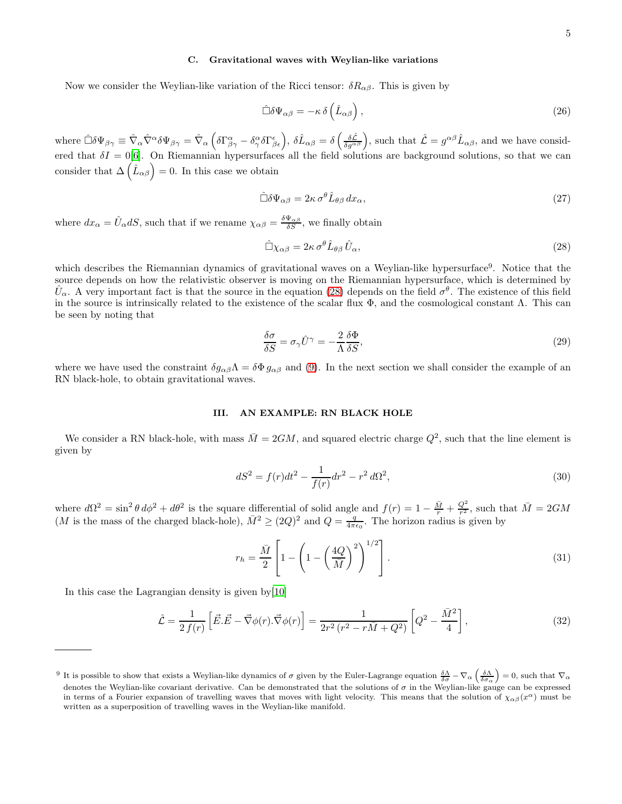# C. Gravitational waves with Weylian-like variations

Now we consider the Weylian-like variation of the Ricci tensor:  $\delta R_{\alpha\beta}$ . This is given by

$$
\hat{\Box}\delta\Psi_{\alpha\beta} = -\kappa \,\delta\left(\hat{L}_{\alpha\beta}\right),\tag{26}
$$

where  $\hat{\Box}\delta\Psi_{\beta\gamma} \equiv \hat{\nabla}_{\alpha}\hat{\nabla}^{\alpha}\delta\Psi_{\beta\gamma} = \hat{\nabla}_{\alpha}\left(\delta\Gamma^{\alpha}_{\beta\gamma} - \delta^{\alpha}_{\gamma}\delta\Gamma^{\epsilon}_{\beta\epsilon}\right), \delta\hat{L}_{\alpha\beta} = \delta\left(\frac{\delta\hat{\mathcal{L}}}{\delta g^{\alpha\beta}}\right)$ , such that  $\hat{\mathcal{L}} = g^{\alpha\beta}\hat{L}_{\alpha\beta}$ , and we have considered that  $\delta I = 0[6]$  $\delta I = 0[6]$  $\delta I = 0[6]$ . On Riemannian hypersurfaces all the field solutions are background solutions, so that we can consider that  $\Delta\left(\hat{L}_{\alpha\beta}\right)=0$ . In this case we obtain

$$
\hat{\Box}\delta\Psi_{\alpha\beta} = 2\kappa\,\sigma^{\theta}\hat{L}_{\theta\beta}\,dx_{\alpha},\tag{27}
$$

where  $dx_{\alpha} = \hat{U}_{\alpha} dS$ , such that if we rename  $\chi_{\alpha\beta} = \frac{\delta \Psi_{\alpha\beta}}{\delta S}$ , we finally obtain

<span id="page-4-0"></span>
$$
\hat{\Box}\chi_{\alpha\beta} = 2\kappa \,\sigma^{\theta}\hat{L}_{\theta\beta}\,\hat{U}_{\alpha},\tag{28}
$$

which describes the Riemannian dynamics of gravitational waves on a Weylian-like hypersurface<sup>9</sup>. Notice that the source depends on how the relativistic observer is moving on the Riemannian hypersurface, which is determined by  $\hat{U}_{\alpha}$ . A very important fact is that the source in the equation [\(28\)](#page-4-0) depends on the field  $\sigma^{\theta}$ . The existence of this field in the source is intrinsically related to the existence of the scalar flux  $\Phi$ , and the cosmological constant Λ. This can be seen by noting that

$$
\frac{\delta \sigma}{\delta S} = \sigma_{\gamma} \hat{U}^{\gamma} = -\frac{2}{\Lambda} \frac{\delta \Phi}{\delta S},\tag{29}
$$

where we have used the constraint  $\delta g_{\alpha\beta}\Lambda = \delta\Phi g_{\alpha\beta}$  and [\(9\)](#page-2-1). In the next section we shall consider the example of an RN black-hole, to obtain gravitational waves.

# III. AN EXAMPLE: RN BLACK HOLE

We consider a RN black-hole, with mass  $\overline{M} = 2GM$ , and squared electric charge  $Q^2$ , such that the line element is given by

<span id="page-4-1"></span>
$$
dS^{2} = f(r)dt^{2} - \frac{1}{f(r)}dr^{2} - r^{2} d\Omega^{2},
$$
\n(30)

where  $d\Omega^2 = \sin^2 \theta \, d\phi^2 + d\theta^2$  is the square differential of solid angle and  $f(r) = 1 - \frac{\overline{M}}{r} + \frac{Q^2}{r^2}$ , such that  $\overline{M} = 2GM$ (M is the mass of the charged black-hole),  $\bar{M}^2 \geq (2Q)^2$  and  $Q = \frac{q}{4\pi\epsilon_0}$ . The horizon radius is given by

$$
r_h = \frac{\bar{M}}{2} \left[ 1 - \left( 1 - \left( \frac{4Q}{\bar{M}} \right)^2 \right)^{1/2} \right].
$$
\n(31)

In this case the Lagrangian density is given by[\[10\]](#page-8-2)

$$
\hat{\mathcal{L}} = \frac{1}{2 f(r)} \left[ \vec{E} \cdot \vec{E} - \vec{\nabla} \phi(r) \cdot \vec{\nabla} \phi(r) \right] = \frac{1}{2r^2 (r^2 - r\bar{M} + Q^2)} \left[ Q^2 - \frac{\bar{M}^2}{4} \right],\tag{32}
$$

<sup>&</sup>lt;sup>9</sup> It is possible to show that exists a Weylian-like dynamics of  $\sigma$  given by the Euler-Lagrange equation  $\frac{\delta\Lambda}{\delta\sigma} - \nabla_{\alpha} \left( \frac{\delta\Lambda}{\delta\sigma_{\alpha}} \right) = 0$ , such that  $\nabla_{\alpha}$ denotes the Weylian-like covariant derivative. Can be demonstrated that the solutions of  $\sigma$  in the Weylian-like gauge can be expressed in terms of a Fourier expansion of travelling waves that moves with light velocity. This means that the solution of  $\chi_{\alpha\beta}(x^{\alpha})$  must be written as a superposition of travelling waves in the Weylian-like manifold.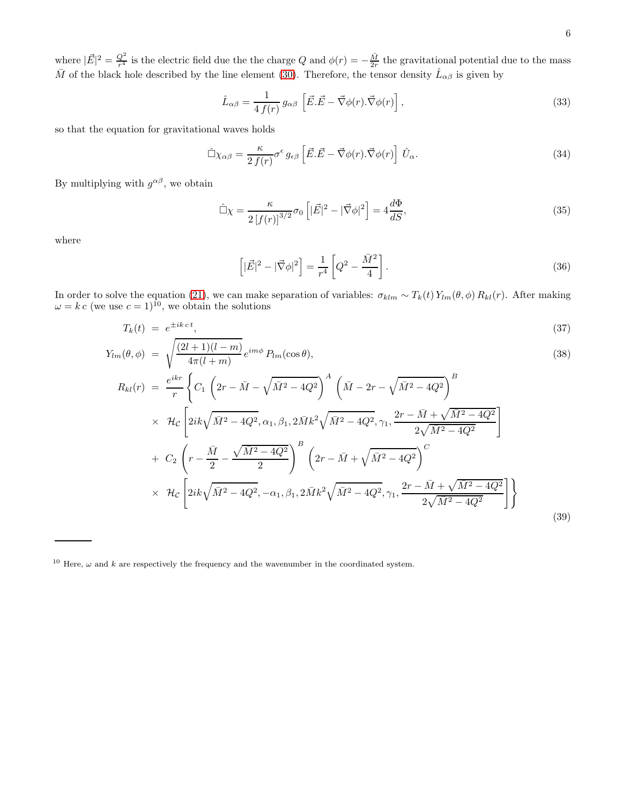where  $|\vec{E}|^2 = \frac{Q^2}{r^4}$  is the electric field due the the charge Q and  $\phi(r) = -\frac{\bar{M}}{2r}$  the gravitational potential due to the mass  $\bar{M}$  of the black hole described by the line element [\(30\)](#page-4-1). Therefore, the tensor density  $\hat{L}_{\alpha\beta}$  is given by

$$
\hat{L}_{\alpha\beta} = \frac{1}{4 f(r)} g_{\alpha\beta} \left[ \vec{E} \cdot \vec{E} - \vec{\nabla}\phi(r) \cdot \vec{\nabla}\phi(r) \right],\tag{33}
$$

so that the equation for gravitational waves holds

$$
\hat{\Box}\chi_{\alpha\beta} = \frac{\kappa}{2\,f(r)}\sigma^{\epsilon}\,g_{\epsilon\beta}\left[\vec{E}.\vec{E} - \vec{\nabla}\phi(r).\vec{\nabla}\phi(r)\right]\,\hat{U}_{\alpha}.\tag{34}
$$

By multiplying with  $g^{\alpha\beta}$ , we obtain

$$
\hat{\Box}\chi = \frac{\kappa}{2\left[f(r)\right]^{3/2}}\sigma_0\left[|\vec{E}|^2 - |\vec{\nabla}\phi|^2\right] = 4\frac{d\Phi}{dS},\tag{35}
$$

where

$$
\left[|\vec{E}|^2 - |\vec{\nabla}\phi|^2\right] = \frac{1}{r^4} \left[Q^2 - \frac{\bar{M}^2}{4}\right].\tag{36}
$$

In order to solve the equation [\(21\)](#page-3-1), we can make separation of variables:  $\sigma_{klm} \sim T_k(t) Y_{lm}(\theta, \phi) R_{kl}(r)$ . After making  $\omega = k c$  (we use  $c = 1$ )<sup>10</sup>, we obtain the solutions

$$
T_k(t) = e^{\pm ik \, ct},\tag{37}
$$

$$
Y_{lm}(\theta,\phi) = \sqrt{\frac{(2l+1)(l-m)}{4\pi(l+m)}} e^{im\phi} P_{lm}(\cos\theta),
$$
\n
$$
R_{kl}(r) = \frac{e^{ikr}}{r} \left\{ C_1 \left( 2r - \bar{M} - \sqrt{\bar{M}^2 - 4Q^2} \right)^A \left( \bar{M} - 2r - \sqrt{\bar{M}^2 - 4Q^2} \right)^B \right\}
$$
\n
$$
\times \mathcal{H}_c \left[ 2ik\sqrt{\bar{M}^2 - 4Q^2}, \alpha_1, \beta_1, 2\bar{M}k^2\sqrt{\bar{M}^2 - 4Q^2}, \gamma_1, \frac{2r - \bar{M} + \sqrt{\bar{M}^2 - 4Q^2}}{2\sqrt{\bar{M}^2 - 4Q^2}} \right]
$$
\n
$$
+ C_2 \left( r - \frac{\bar{M}}{2} - \frac{\sqrt{\bar{M}^2 - 4Q^2}}{2} \right)^B \left( 2r - \bar{M} + \sqrt{\bar{M}^2 - 4Q^2} \right)^C
$$
\n
$$
\times \mathcal{H}_c \left[ 2ik\sqrt{\bar{M}^2 - 4Q^2}, -\alpha_1, \beta_1, 2\bar{M}k^2\sqrt{\bar{M}^2 - 4Q^2}, \gamma_1, \frac{2r - \bar{M} + \sqrt{\bar{M}^2 - 4Q^2}}{2\sqrt{\bar{M}^2 - 4Q^2}} \right] \right\}
$$
\n(39)

<sup>&</sup>lt;sup>10</sup> Here,  $\omega$  and k are respectively the frequency and the wavenumber in the coordinated system.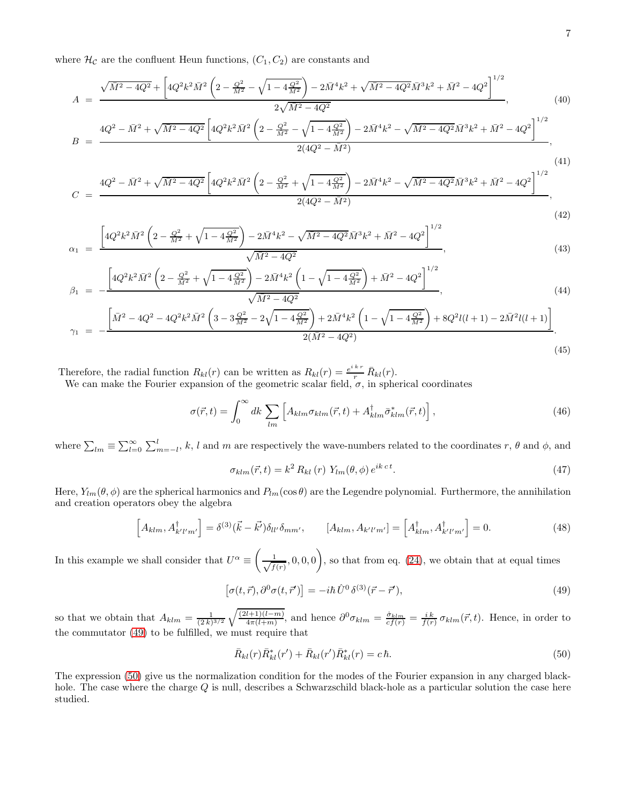where  $\mathcal{H}_{\mathcal{C}}$  are the confluent Heun functions,  $(C_1, C_2)$  are constants and

$$
A = \frac{\sqrt{\bar{M}^2 - 4Q^2} + \left[4Q^2k^2\bar{M}^2\left(2 - \frac{Q^2}{\bar{M}^2} - \sqrt{1 - 4\frac{Q^2}{\bar{M}^2}}\right) - 2\bar{M}^4k^2 + \sqrt{\bar{M}^2 - 4Q^2}\bar{M}^3k^2 + \bar{M}^2 - 4Q^2\right]^{1/2}}{2\sqrt{\bar{M}^2 - 4Q^2}},
$$
(40)

$$
B = \frac{4Q^2 - \bar{M}^2 + \sqrt{\bar{M}^2 - 4Q^2} \left[ 4Q^2 k^2 \bar{M}^2 \left( 2 - \frac{Q^2}{\bar{M}^2} - \sqrt{1 - 4\frac{Q^2}{\bar{M}^2}} \right) - 2\bar{M}^4 k^2 - \sqrt{\bar{M}^2 - 4Q^2} \bar{M}^3 k^2 + \bar{M}^2 - 4Q^2 \right]^{1/2}}{2(4Q^2 - \bar{M}^2)},
$$
\n(41)

$$
C = \frac{4Q^2 - \bar{M}^2 + \sqrt{\bar{M}^2 - 4Q^2} \left[ 4Q^2 k^2 \bar{M}^2 \left( 2 - \frac{Q^2}{\bar{M}^2} + \sqrt{1 - 4\frac{Q^2}{\bar{M}^2}} \right) - 2\bar{M}^4 k^2 - \sqrt{\bar{M}^2 - 4Q^2} \bar{M}^3 k^2 + \bar{M}^2 - 4Q^2 \right]^{1/2}}{2(4Q^2 - \bar{M}^2)},
$$
\n(42)

$$
\alpha_1 = \frac{\left[4Q^2k^2\bar{M}^2\left(2 - \frac{Q^2}{\bar{M}^2} + \sqrt{1 - 4\frac{Q^2}{\bar{M}^2}}\right) - 2\bar{M}^4k^2 - \sqrt{\bar{M}^2 - 4Q^2}\bar{M}^3k^2 + \bar{M}^2 - 4Q^2\right]^{1/2}}{\sqrt{\bar{M}^2 - 4Q^2}},
$$
\n(43)

$$
\beta_1 = -\frac{\left[4Q^2k^2\bar{M}^2\left(2-\frac{Q^2}{\bar{M}^2}+\sqrt{1-4\frac{Q^2}{\bar{M}^2}}\right)-2\bar{M}^4k^2\left(1-\sqrt{1-4\frac{Q^2}{\bar{M}^2}}\right)+\bar{M}^2-4Q^2\right]^{1/2}}{\sqrt{\bar{M}^2-4Q^2}},
$$
\n(44)

$$
\gamma_1 = -\frac{\left[\bar{M}^2 - 4Q^2 - 4Q^2k^2\bar{M}^2\left(3 - 3\frac{Q^2}{\bar{M}^2} - 2\sqrt{1 - 4\frac{Q^2}{\bar{M}^2}}\right) + 2\bar{M}^4k^2\left(1 - \sqrt{1 - 4\frac{Q^2}{\bar{M}^2}}\right) + 8Q^2l(l+1) - 2\bar{M}^2l(l+1)\right]}{2(\bar{M}^2 - 4Q^2)}.
$$
\n(45)

Therefore, the radial function  $R_{kl}(r)$  can be written as  $R_{kl}(r) = \frac{e^{ikr}}{r} R_{kl}(r)$ .

We can make the Fourier expansion of the geometric scalar field,  $\sigma$ , in spherical coordinates

$$
\sigma(\vec{r},t) = \int_0^\infty dk \sum_{lm} \left[ A_{klm} \sigma_{klm}(\vec{r},t) + A_{klm}^\dagger \bar{\sigma}_{klm}^*(\vec{r},t) \right],\tag{46}
$$

where  $\sum_{lm} \equiv \sum_{l=0}^{\infty} \sum_{m=-l}^{l} k, l$  and m are respectively the wave-numbers related to the coordinates r,  $\theta$  and  $\phi$ , and

$$
\sigma_{klm}(\vec{r},t) = k^2 R_{kl}(r) Y_{lm}(\theta,\phi) e^{ikct}.
$$
\n(47)

Here,  $Y_{lm}(\theta, \phi)$  are the spherical harmonics and  $P_{lm}(\cos \theta)$  are the Legendre polynomial. Furthermore, the annihilation and creation operators obey the algebra

$$
\[A_{klm}, A^{\dagger}_{k'l'm'}\] = \delta^{(3)}(\vec{k} - \vec{k'})\delta_{ll'}\delta_{mm'}, \qquad [A_{klm}, A_{k'l'm'}\] = \[A^{\dagger}_{klm}, A^{\dagger}_{k'l'm'}\] = 0. \tag{48}
$$

In this example we shall consider that  $U^{\alpha} \equiv \left( \right)$  $\frac{1}{\sqrt{f}}$  $\left(\frac{1}{f(r)}, 0, 0, 0\right)$ , so that from eq. [\(24\)](#page-3-2), we obtain that at equal times

<span id="page-6-0"></span>
$$
\left[\sigma(t,\vec{r}),\partial^0\sigma(t,\vec{r}')\right] = -i\hbar \,\hat{U}^0\,\delta^{(3)}(\vec{r}-\vec{r}'),\tag{49}
$$

so that we obtain that  $A_{klm} = \frac{1}{(2k)^{3/2}} \sqrt{\frac{(2l+1)(l-m)}{4\pi(l+m)}}$ , and hence  $\partial^0 \sigma_{klm} = \frac{\dot{\sigma}_{klm}}{cf(r)} = \frac{i k}{f(r)} \sigma_{klm}(\vec{r}, t)$ . Hence, in order to the commutator [\(49\)](#page-6-0) to be fulfilled, we must require that

<span id="page-6-1"></span>
$$
\bar{R}_{kl}(r)\bar{R}_{kl}^*(r') + \bar{R}_{kl}(r')\bar{R}_{kl}^*(r) = c\,\hbar. \tag{50}
$$

The expression [\(50\)](#page-6-1) give us the normalization condition for the modes of the Fourier expansion in any charged blackhole. The case where the charge Q is null, describes a Schwarzschild black-hole as a particular solution the case here studied.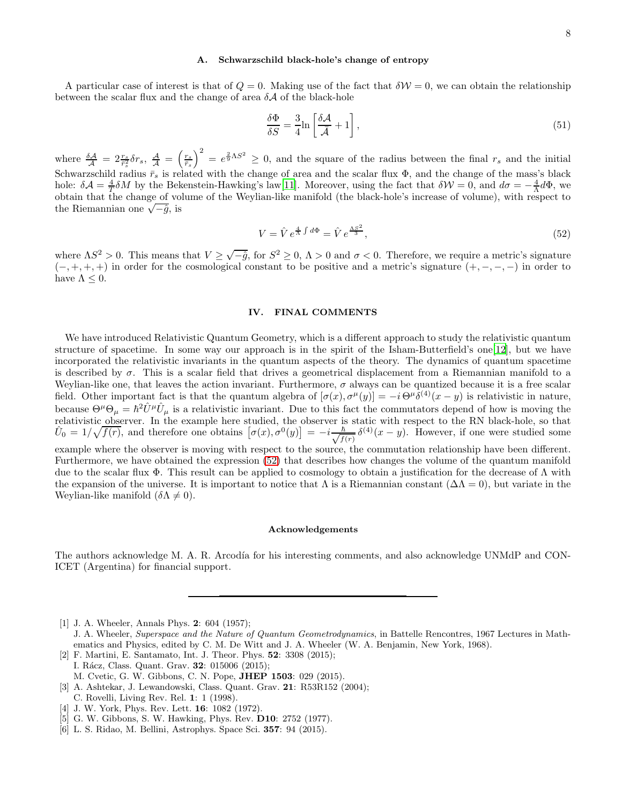# A. Schwarzschild black-hole's change of entropy

A particular case of interest is that of  $Q = 0$ . Making use of the fact that  $\delta \mathcal{W} = 0$ , we can obtain the relationship between the scalar flux and the change of area  $\delta A$  of the black-hole

$$
\frac{\delta \Phi}{\delta S} = \frac{3}{4} \ln \left[ \frac{\delta \mathcal{A}}{\bar{\mathcal{A}}} + 1 \right],\tag{51}
$$

where  $\frac{\delta A}{\lambda} = 2 \frac{r_s}{r_s^2} \delta r_s$ ,  $\frac{A}{\lambda} = \left(\frac{r_s}{r_s}\right)^2 = e^{\frac{2}{9} \Lambda S^2} \geq 0$ , and the square of the radius between the final  $r_s$  and the initial Schwarzschild radius  $\bar{r}_s$  is related with the change of area and the scalar flux  $\Phi$ , and the change of the mass's black hole:  $\delta A = \frac{4}{T} \delta M$  by the Bekenstein-Hawking's law[\[11\]](#page-8-3). Moreover, using the fact that  $\delta \mathcal{W} = 0$ , and  $d\sigma = -\frac{4}{\Lambda} d\Phi$ , we obtain that the change of volume of the Weylian-like manifold (the black-hole's increase of volume), with respect to  $\frac{1}{N}$ the Riemannian one  $\sqrt{-\hat{g}}$ , is

<span id="page-7-6"></span>
$$
V = \hat{V} e^{\frac{4}{\Lambda} \int d\Phi} = \hat{V} e^{\frac{\Lambda S^2}{3}},\tag{52}
$$

where  $\Lambda S^2 > 0$ . This means that  $V \geq \sqrt{-\hat{g}}$ , for  $S^2 \geq 0$ ,  $\Lambda > 0$  and  $\sigma < 0$ . Therefore, we require a metric's signature  $(-, +, +, +)$  in order for the cosmological constant to be positive and a metric's signature  $(+, -, -, -)$  in order to have  $\Lambda \leq 0$ .

# IV. FINAL COMMENTS

We have introduced Relativistic Quantum Geometry, which is a different approach to study the relativistic quantum structure of spacetime. In some way our approach is in the spirit of the Isham-Butterfield's one[\[12\]](#page-8-4), but we have incorporated the relativistic invariants in the quantum aspects of the theory. The dynamics of quantum spacetime is described by  $\sigma$ . This is a scalar field that drives a geometrical displacement from a Riemannian manifold to a Weylian-like one, that leaves the action invariant. Furthermore,  $\sigma$  always can be quantized because it is a free scalar field. Other important fact is that the quantum algebra of  $[\sigma(x), \sigma^{\mu}(y)] = -i \Theta^{\mu} \delta^{(4)}(x - y)$  is relativistic in nature, because  $\Theta^{\mu}\Theta_{\mu} = \hbar^2 \hat{U}^{\mu} \hat{U}_{\mu}$  is a relativistic invariant. Due to this fact the commutators depend of how is moving the relativistic observer. In the example here studied, the observer is static with respect to the RN black-hole, so that  $\hat{U}_0 = 1/\sqrt{f(r)}$ , and therefore one obtains  $[\sigma(x), \sigma^0(y)] = -i \frac{\hbar}{\sqrt{f(r)}}$  $\frac{\hbar}{f(r)} \delta^{(4)}(x-y)$ . However, if one were studied some example where the observer is moving with respect to the source, the commutation relationship have been different. Furthermore, we have obtained the expression [\(52\)](#page-7-6) that describes how changes the volume of the quantum manifold due to the scalar flux  $\Phi$ . This result can be applied to cosmology to obtain a justification for the decrease of  $\Lambda$  with the expansion of the universe. It is important to notice that  $\Lambda$  is a Riemannian constant  $(\Delta\Lambda = 0)$ , but variate in the Weylian-like manifold  $(\delta \Lambda \neq 0)$ .

### Acknowledgements

The authors acknowledge M. A. R. Arcodía for his interesting comments, and also acknowledge UNMdP and CON-ICET (Argentina) for financial support.

<span id="page-7-0"></span>[1] J. A. Wheeler, Annals Phys. 2: 604 (1957);

- <span id="page-7-1"></span>[2] F. Martini, E. Santamato, Int. J. Theor. Phys. 52: 3308 (2015); I. Rácz, Class. Quant. Grav. **32**: 015006 (2015);
	- M. Cvetic, G. W. Gibbons, C. N. Pope, JHEP 1503: 029 (2015).
- <span id="page-7-2"></span>[3] A. Ashtekar, J. Lewandowski, Class. Quant. Grav. 21: R53R152 (2004); C. Rovelli, Living Rev. Rel. 1: 1 (1998).
- <span id="page-7-3"></span>[4] J. W. York, Phys. Rev. Lett. 16: 1082 (1972).
- <span id="page-7-4"></span>[5] G. W. Gibbons, S. W. Hawking, Phys. Rev. D10: 2752 (1977).
- <span id="page-7-5"></span>[6] L. S. Ridao, M. Bellini, Astrophys. Space Sci. 357: 94 (2015).
- 

J. A. Wheeler, Superspace and the Nature of Quantum Geometrodynamics, in Battelle Rencontres, 1967 Lectures in Mathematics and Physics, edited by C. M. De Witt and J. A. Wheeler (W. A. Benjamin, New York, 1968).